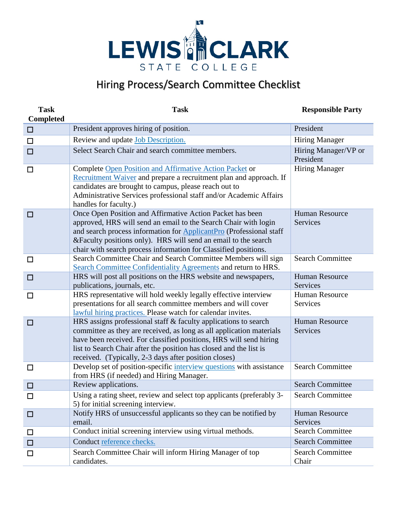

## Hiring Process/Search Committee Checklist

| <b>Task</b><br><b>Completed</b> | <b>Task</b>                                                                                                                                                                                                                                                                                                                                      | <b>Responsible Party</b>          |
|---------------------------------|--------------------------------------------------------------------------------------------------------------------------------------------------------------------------------------------------------------------------------------------------------------------------------------------------------------------------------------------------|-----------------------------------|
| $\Box$                          | President approves hiring of position.                                                                                                                                                                                                                                                                                                           | President                         |
| $\Box$                          | Review and update <b>Job</b> Description.                                                                                                                                                                                                                                                                                                        | <b>Hiring Manager</b>             |
| $\Box$                          | Select Search Chair and search committee members.                                                                                                                                                                                                                                                                                                | Hiring Manager/VP or<br>President |
| $\Box$                          | Complete Open Position and Affirmative Action Packet or<br>Recruitment Waiver and prepare a recruitment plan and approach. If<br>candidates are brought to campus, please reach out to<br>Administrative Services professional staff and/or Academic Affairs<br>handles for faculty.)                                                            | <b>Hiring Manager</b>             |
| $\Box$                          | Once Open Position and Affirmative Action Packet has been<br>approved, HRS will send an email to the Search Chair with login<br>and search process information for <b>ApplicantPro</b> (Professional staff<br>& Faculty positions only). HRS will send an email to the search<br>chair with search process information for Classified positions. | <b>Human Resource</b><br>Services |
| □                               | Search Committee Chair and Search Committee Members will sign<br>Search Committee Confidentiality Agreements and return to HRS.                                                                                                                                                                                                                  | <b>Search Committee</b>           |
| $\Box$                          | HRS will post all positions on the HRS website and newspapers,<br>publications, journals, etc.                                                                                                                                                                                                                                                   | <b>Human Resource</b><br>Services |
| □                               | HRS representative will hold weekly legally effective interview<br>presentations for all search committee members and will cover<br>lawful hiring practices. Please watch for calendar invites.                                                                                                                                                  | Human Resource<br>Services        |
| $\Box$                          | HRS assigns professional staff & faculty applications to search<br>committee as they are received, as long as all application materials<br>have been received. For classified positions, HRS will send hiring<br>list to Search Chair after the position has closed and the list is<br>received. (Typically, 2-3 days after position closes)     | Human Resource<br>Services        |
| □                               | Develop set of position-specific interview questions with assistance<br>from HRS (if needed) and Hiring Manager.                                                                                                                                                                                                                                 | <b>Search Committee</b>           |
| $\Box$                          | Review applications.                                                                                                                                                                                                                                                                                                                             | <b>Search Committee</b>           |
| □                               | Using a rating sheet, review and select top applicants (preferably 3-<br>5) for initial screening interview.                                                                                                                                                                                                                                     | <b>Search Committee</b>           |
| $\Box$                          | Notify HRS of unsuccessful applicants so they can be notified by<br>email.                                                                                                                                                                                                                                                                       | <b>Human Resource</b><br>Services |
| □                               | Conduct initial screening interview using virtual methods.                                                                                                                                                                                                                                                                                       | <b>Search Committee</b>           |
| $\Box$                          | Conduct reference checks.                                                                                                                                                                                                                                                                                                                        | <b>Search Committee</b>           |
| □                               | Search Committee Chair will inform Hiring Manager of top<br>candidates.                                                                                                                                                                                                                                                                          | <b>Search Committee</b><br>Chair  |